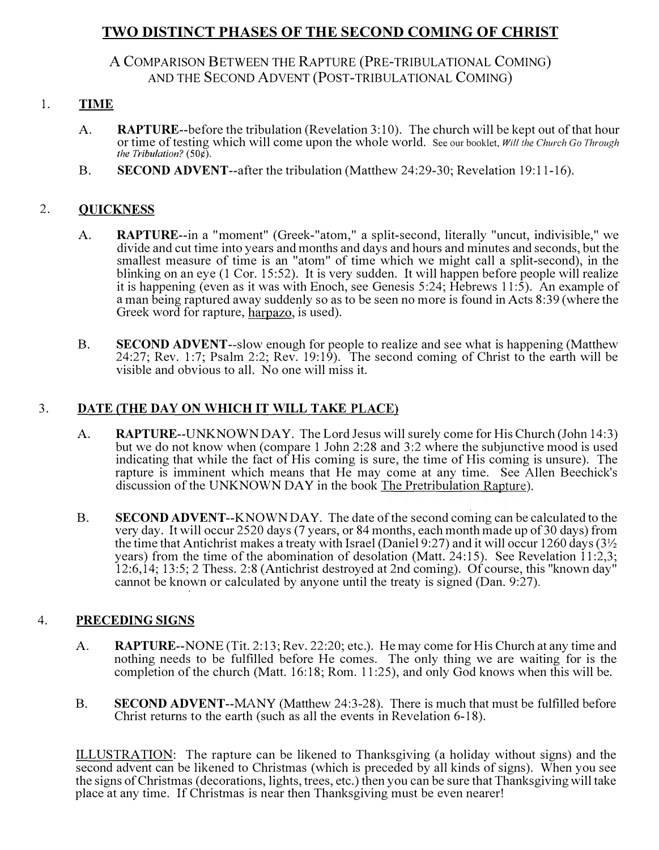# TWO DISTINCT PHASES OF THE SECOND COMING OF CHRIST

A COMPARISON BETWEEN THE RAPTURE (PRE-TRIBULATIONAL COMING) AND THE SECOND ADVENT (POST-TRIBULATIONAL COMING)

### 1. TIME

- A. RAPTURE--before the tribulation (Revelation 3:10). The church will be kept out of that hour or time of testing which will come upon the whole world. See our booklet, Will the Church Go Through the Tribulation?  $(50¢)$ .
- B. SECOND ADVENT--after the tribulation (Matthew 24:29-30; Revelation 19:11-16).

## 2. QUICKNESS

- A. RAPTURE--in a " moment" (Greek-"atom," a split-second, literally "uncut, indivisible," we divide and cut time into years and months and days and hours and minutes and seconds, but the smallest measure of time is an "atom" of time which we might call a split-second), in the blinking on an eye (1 Cor. 15:52). It is very sudden. It will happen before people will realize it is happening (even as it was with Enoch, see Genesis 5 :24; Hebrews 11 :5). An example of a man being raptured away suddenly so as to be seen no more is found in Acts 8:39 (where the Greek word for rapture, harpazo, is used).
- B. SECOND ADVENT--slow enough for people to realize and see what is happening (Matthew 24:27; Rev. 1:7; Psalm 2:2; Rev. 19:19). The second coming of Christ to the earth will be visible and obvious to all. No one will miss it.

### 3. DATE (THE DAY ON WHICH IT WILL TAKE PLACE)

- A. RAPTURE--UNKNOWN DAY. The Lord Jesus will surely come for His Church (John 14:3) but we do not know when (compare 1 John 2:28 and 3:2 where the subjunctive mood is used indicating that while the fact of His coming is sure, the time of His coming is unsure). The rapture is imminent which means that He may come at any time. See Allen Beechick's discussion of the UNKNOWN DAY in the book The Pretribulation Rapture).
- B. SECOND ADVENT--KNOWN DAY. The date of the second coming can be calculated to the very day. It will occur 2520 days (7 years, or 84 months, each month made up of 30 days) from the time that Antichrist makes a treaty with Israel (Daniel 9:27) and it will occur 1260 days (3<sup>1</sup>/<sub>2</sub>) years) from the time of the abomination of desolation (Matt. 24:15). See Revelation  $11:2,3$ ; 12:6,14; 13:5; 2 Thess. 2:8 (Antichrist destroyed at 2nd coming). Of course, this "known day" cannot be known or calculated by anyone until the treaty is signed (Dan. 9:27).

### 4. PRECEDING SIGNS

- A. RAPTURE--NONE (Tit. 2:13; Rev. 22:20; etc.). He may come for His Church at any time and nothing needs to be fulfilled before He comes. The only thing we are waiting for is the completion of the church (Matt. 16:18; Rom. 11:25), and only God knows when this will be.
- B. SECOND ADVENT--MANY (Matthew 24:3-28). There is much that must be fulfilled before Christ returns to the earth (such as all the events in Revelation 6-18).

ILLUSTRATION: The rapture can be likened to Thanksgiving (a holiday without signs) and the second advent can be likened to Christmas (which is preceded by all kinds of signs). When you see the signs of Christmas (decorations, lights, trees, etc.) then you can be sure that Thanksgiving will take place at any time. If Christmas is near then Thanksgiving must be even nearer!